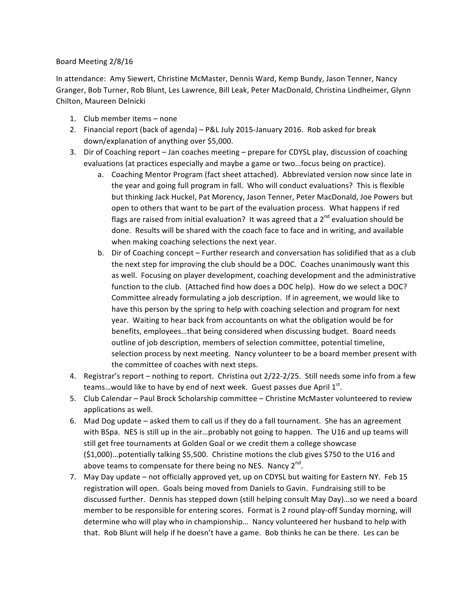## Board Meeting 2/8/16

In attendance: Amy Siewert, Christine McMaster, Dennis Ward, Kemp Bundy, Jason Tenner, Nancy Granger, Bob Turner, Rob Blunt, Les Lawrence, Bill Leak, Peter MacDonald, Christina Lindheimer, Glynn Chilton, Maureen Delnicki

- 1. Club member items none
- 2. Financial report (back of agenda) P&L July 2015-January 2016. Rob asked for break down/explanation of anything over \$5,000.
- 3. Dir of Coaching report Jan coaches meeting prepare for CDYSL play, discussion of coaching evaluations (at practices especially and maybe a game or two...focus being on practice).
	- a. Coaching Mentor Program (fact sheet attached). Abbreviated version now since late in the year and going full program in fall. Who will conduct evaluations? This is flexible but thinking Jack Huckel, Pat Morency, Jason Tenner, Peter MacDonald, Joe Powers but open to others that want to be part of the evaluation process. What happens if red flags are raised from initial evaluation? It was agreed that a  $2^{nd}$  evaluation should be done. Results will be shared with the coach face to face and in writing, and available when making coaching selections the next year.
	- b. Dir of Coaching concept Further research and conversation has solidified that as a club the next step for improving the club should be a DOC. Coaches unanimously want this as well. Focusing on player development, coaching development and the administrative function to the club. (Attached find how does a DOC help). How do we select a DOC? Committee already formulating a job description. If in agreement, we would like to have this person by the spring to help with coaching selection and program for next year. Waiting to hear back from accountants on what the obligation would be for benefits, employees...that being considered when discussing budget. Board needs outline of job description, members of selection committee, potential timeline, selection process by next meeting. Nancy volunteer to be a board member present with the committee of coaches with next steps.
- 4. Registrar's report nothing to report. Christina out 2/22-2/25. Still needs some info from a few teams... would like to have by end of next week. Guest passes due April  $1<sup>st</sup>$ .
- 5. Club Calendar Paul Brock Scholarship committee Christine McMaster volunteered to review applications as well.
- 6. Mad Dog update asked them to call us if they do a fall tournament. She has an agreement with BSpa. NES is still up in the air...probably not going to happen. The U16 and up teams will still get free tournaments at Golden Goal or we credit them a college showcase (\$1,000)…potentially talking \$5,500. Christine motions the club gives \$750 to the U16 and above teams to compensate for there being no NES. Nancy  $2^{nd}$ .
- 7. May Day update not officially approved yet, up on CDYSL but waiting for Eastern NY. Feb 15 registration will open. Goals being moved from Daniels to Gavin. Fundraising still to be discussed further. Dennis has stepped down (still helping consult May Day)...so we need a board member to be responsible for entering scores. Format is 2 round play-off Sunday morning, will determine who will play who in championship... Nancy volunteered her husband to help with that. Rob Blunt will help if he doesn't have a game. Bob thinks he can be there. Les can be